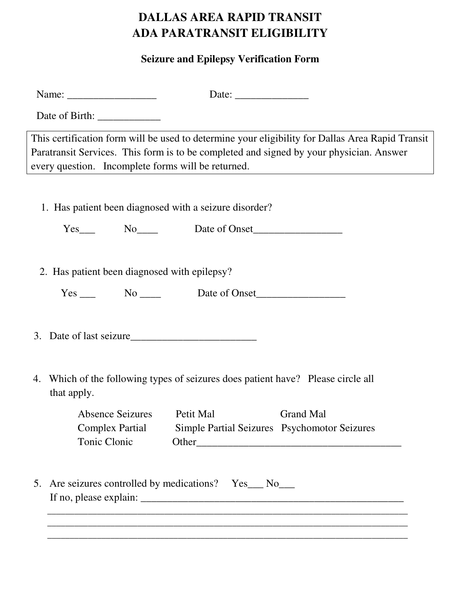## **DALLAS AREA RAPID TRANSIT ADA PARATRANSIT ELIGIBILITY**

## **Seizure and Epilepsy Verification Form**

|    | This certification form will be used to determine your eligibility for Dallas Area Rapid Transit<br>Paratransit Services. This form is to be completed and signed by your physician. Answer<br>every question. Incomplete forms will be returned. |
|----|---------------------------------------------------------------------------------------------------------------------------------------------------------------------------------------------------------------------------------------------------|
|    | 1. Has patient been diagnosed with a seizure disorder?                                                                                                                                                                                            |
|    |                                                                                                                                                                                                                                                   |
|    | 2. Has patient been diagnosed with epilepsy?                                                                                                                                                                                                      |
|    |                                                                                                                                                                                                                                                   |
|    | 4. Which of the following types of seizures does patient have? Please circle all<br>that apply.                                                                                                                                                   |
|    | Absence Seizures Detit Mal Crand Mal<br><b>Complex Partial</b><br>Simple Partial Seizures Psychomotor Seizures<br>Tonic Clonic                                                                                                                    |
| 5. | Are seizures controlled by medications? Yes__ No__<br>,我们也不能在这里的时候,我们也不能在这里的时候,我们也不能在这里的时候,我们也不能会在这里的时候,我们也不能会在这里的时候,我们也不能会在这里的时候,我们也不                                                                                                            |
|    |                                                                                                                                                                                                                                                   |